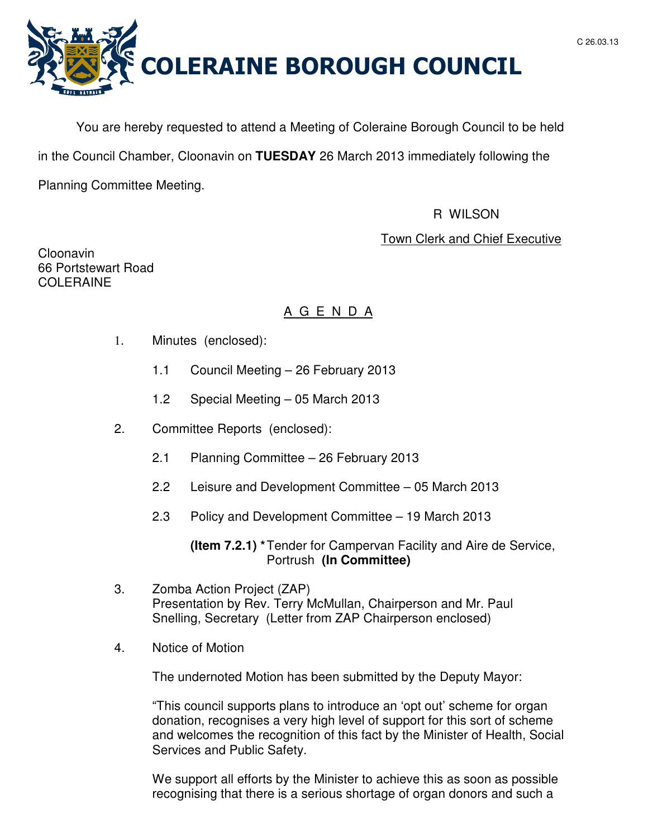

You are hereby requested to attend a Meeting of Coleraine Borough Council to be held in the Council Chamber, Cloonavin on **TUESDAY** 26 March 2013 immediately following the Planning Committee Meeting.

## R WILSON

## Town Clerk and Chief Executive

Cloonavin 66 Portstewart Road **COLERAINE** 

# A G E N D A

- 1. Minutes (enclosed):
	- 1.1 Council Meeting 26 February 2013
	- 1.2 Special Meeting 05 March 2013
- 2. Committee Reports (enclosed):
	- 2.1 Planning Committee 26 February 2013
	- 2.2 Leisure and Development Committee 05 March 2013
	- 2.3 Policy and Development Committee 19 March 2013

 **(Item 7.2.1) \*** Tender for Campervan Facility and Aire de Service, Portrush **(In Committee)** 

- 3. Zomba Action Project (ZAP) Presentation by Rev. Terry McMullan, Chairperson and Mr. Paul Snelling, Secretary (Letter from ZAP Chairperson enclosed)
- 4. Notice of Motion

The undernoted Motion has been submitted by the Deputy Mayor:

 "This council supports plans to introduce an 'opt out' scheme for organ donation, recognises a very high level of support for this sort of scheme and welcomes the recognition of this fact by the Minister of Health, Social Services and Public Safety.

We support all efforts by the Minister to achieve this as soon as possible recognising that there is a serious shortage of organ donors and such a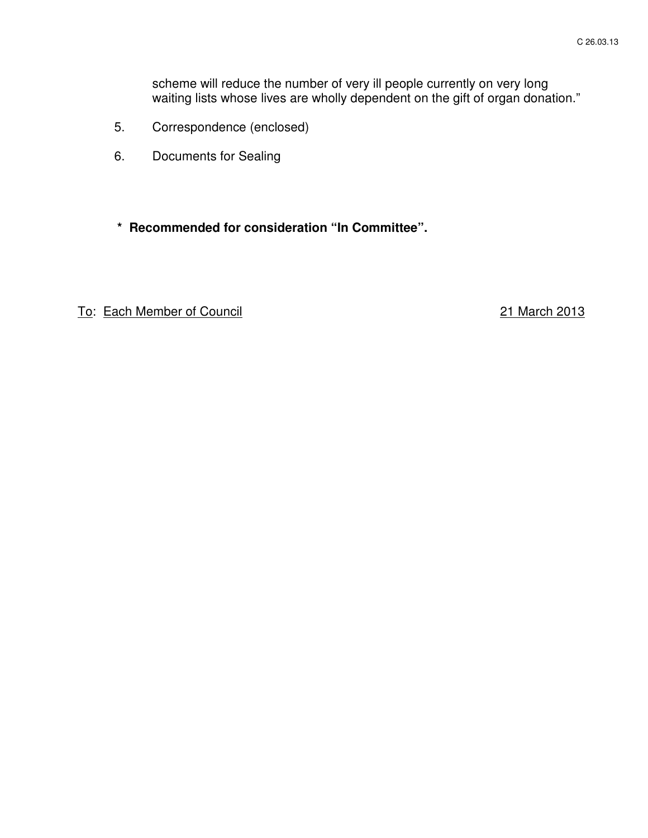scheme will reduce the number of very ill people currently on very long waiting lists whose lives are wholly dependent on the gift of organ donation."

- 5. Correspondence (enclosed)
- 6. Documents for Sealing
- **\* Recommended for consideration "In Committee".**

To: Each Member of Council 21 March 2013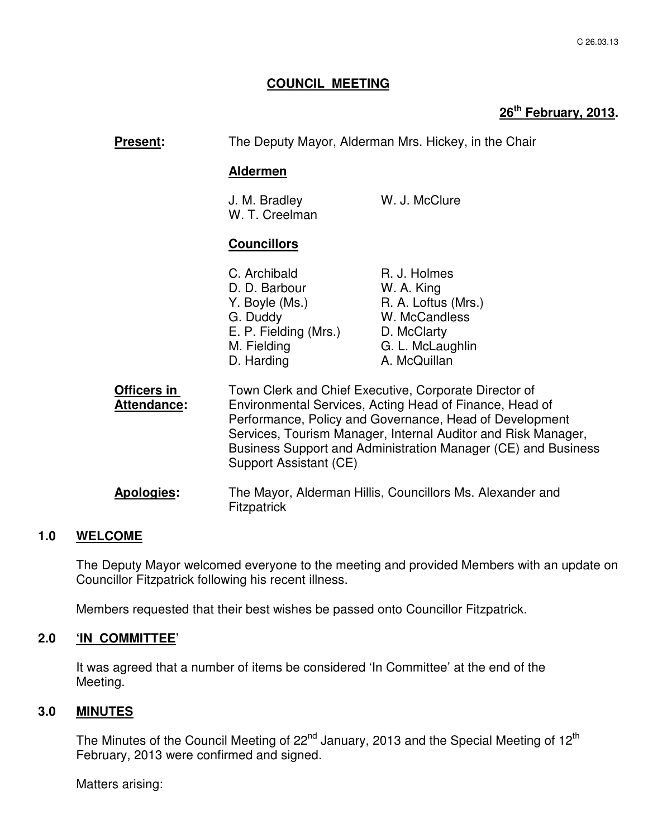## **COUNCIL MEETING**

# **26th February, 2013.**

| Present:                          | The Deputy Mayor, Alderman Mrs. Hickey, in the Chair                                                                                                                                                                                                                                                                                    |                                                                                                                       |
|-----------------------------------|-----------------------------------------------------------------------------------------------------------------------------------------------------------------------------------------------------------------------------------------------------------------------------------------------------------------------------------------|-----------------------------------------------------------------------------------------------------------------------|
|                                   | <b>Aldermen</b>                                                                                                                                                                                                                                                                                                                         |                                                                                                                       |
|                                   | J. M. Bradley<br>W. T. Creelman                                                                                                                                                                                                                                                                                                         | W. J. McClure                                                                                                         |
|                                   | <b>Councillors</b>                                                                                                                                                                                                                                                                                                                      |                                                                                                                       |
|                                   | C. Archibald<br>D. D. Barbour<br>Y. Boyle (Ms.)<br>G. Duddy<br>E. P. Fielding (Mrs.)<br>M. Fielding<br>D. Harding                                                                                                                                                                                                                       | R. J. Holmes<br>W. A. King<br>R. A. Loftus (Mrs.)<br>W. McCandless<br>D. McClarty<br>G. L. McLaughlin<br>A. McQuillan |
| Officers in<br><b>Attendance:</b> | Town Clerk and Chief Executive, Corporate Director of<br>Environmental Services, Acting Head of Finance, Head of<br>Performance, Policy and Governance, Head of Development<br>Services, Tourism Manager, Internal Auditor and Risk Manager,<br>Business Support and Administration Manager (CE) and Business<br>Support Assistant (CE) |                                                                                                                       |
| Apologies:                        | The Mayor, Alderman Hillis, Councillors Ms. Alexander and<br><b>Fitzpatrick</b>                                                                                                                                                                                                                                                         |                                                                                                                       |

## **1.0 WELCOME**

The Deputy Mayor welcomed everyone to the meeting and provided Members with an update on Councillor Fitzpatrick following his recent illness.

Members requested that their best wishes be passed onto Councillor Fitzpatrick.

#### **2.0 'IN COMMITTEE'**

 It was agreed that a number of items be considered 'In Committee' at the end of the Meeting.

## **3.0 MINUTES**

The Minutes of the Council Meeting of 22<sup>nd</sup> January, 2013 and the Special Meeting of 12<sup>th</sup> February, 2013 were confirmed and signed.

Matters arising: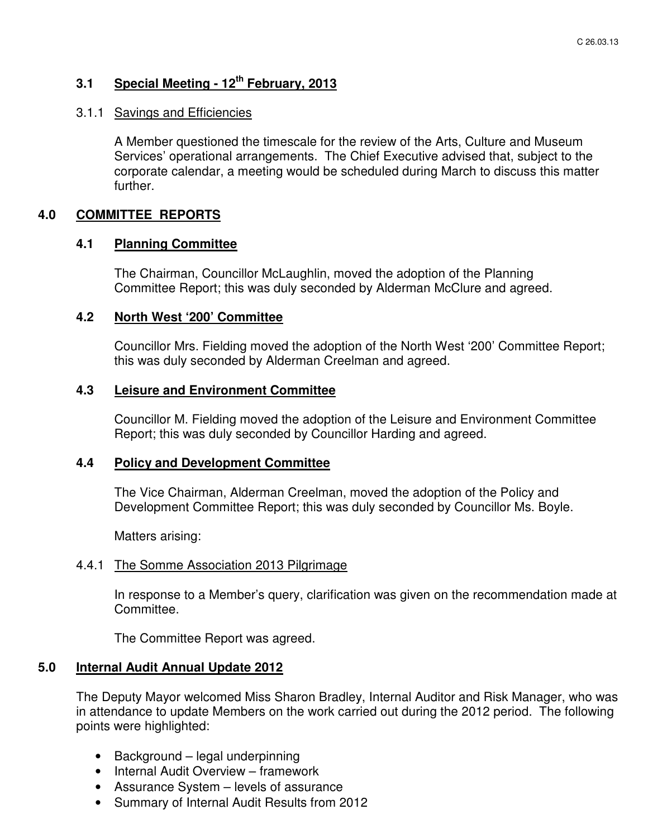# **3.1 Special Meeting - 12th February, 2013**

#### 3.1.1 Savings and Efficiencies

A Member questioned the timescale for the review of the Arts, Culture and Museum Services' operational arrangements. The Chief Executive advised that, subject to the corporate calendar, a meeting would be scheduled during March to discuss this matter further.

## **4.0 COMMITTEE REPORTS**

#### **4.1 Planning Committee**

The Chairman, Councillor McLaughlin, moved the adoption of the Planning Committee Report; this was duly seconded by Alderman McClure and agreed.

#### **4.2 North West '200' Committee**

Councillor Mrs. Fielding moved the adoption of the North West '200' Committee Report; this was duly seconded by Alderman Creelman and agreed.

#### **4.3 Leisure and Environment Committee**

Councillor M. Fielding moved the adoption of the Leisure and Environment Committee Report; this was duly seconded by Councillor Harding and agreed.

#### **4.4 Policy and Development Committee**

The Vice Chairman, Alderman Creelman, moved the adoption of the Policy and Development Committee Report; this was duly seconded by Councillor Ms. Boyle.

Matters arising:

#### 4.4.1 The Somme Association 2013 Pilgrimage

In response to a Member's query, clarification was given on the recommendation made at Committee.

The Committee Report was agreed.

## **5.0 Internal Audit Annual Update 2012**

The Deputy Mayor welcomed Miss Sharon Bradley, Internal Auditor and Risk Manager, who was in attendance to update Members on the work carried out during the 2012 period. The following points were highlighted:

- Background legal underpinning
- Internal Audit Overview framework
- Assurance System levels of assurance
- Summary of Internal Audit Results from 2012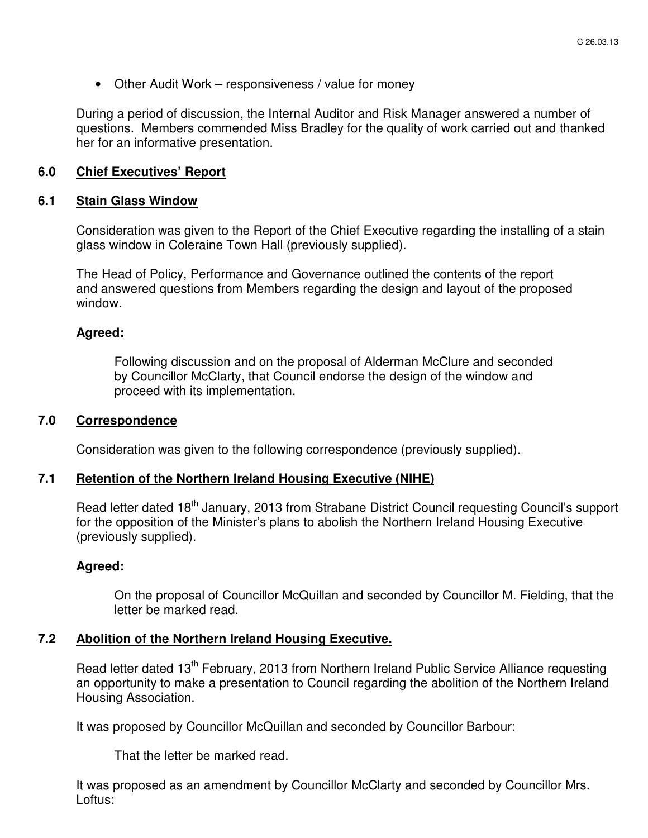• Other Audit Work – responsiveness / value for money

During a period of discussion, the Internal Auditor and Risk Manager answered a number of questions. Members commended Miss Bradley for the quality of work carried out and thanked her for an informative presentation.

## **6.0 Chief Executives' Report**

#### **6.1 Stain Glass Window**

Consideration was given to the Report of the Chief Executive regarding the installing of a stain glass window in Coleraine Town Hall (previously supplied).

The Head of Policy, Performance and Governance outlined the contents of the report and answered questions from Members regarding the design and layout of the proposed window.

#### **Agreed:**

Following discussion and on the proposal of Alderman McClure and seconded by Councillor McClarty, that Council endorse the design of the window and proceed with its implementation.

## **7.0 Correspondence**

Consideration was given to the following correspondence (previously supplied).

## **7.1 Retention of the Northern Ireland Housing Executive (NIHE)**

Read letter dated 18<sup>th</sup> January, 2013 from Strabane District Council requesting Council's support for the opposition of the Minister's plans to abolish the Northern Ireland Housing Executive (previously supplied).

#### **Agreed:**

On the proposal of Councillor McQuillan and seconded by Councillor M. Fielding, that the letter be marked read.

#### **7.2 Abolition of the Northern Ireland Housing Executive.**

Read letter dated 13<sup>th</sup> February, 2013 from Northern Ireland Public Service Alliance requesting an opportunity to make a presentation to Council regarding the abolition of the Northern Ireland Housing Association.

It was proposed by Councillor McQuillan and seconded by Councillor Barbour:

That the letter be marked read.

It was proposed as an amendment by Councillor McClarty and seconded by Councillor Mrs. Loftus: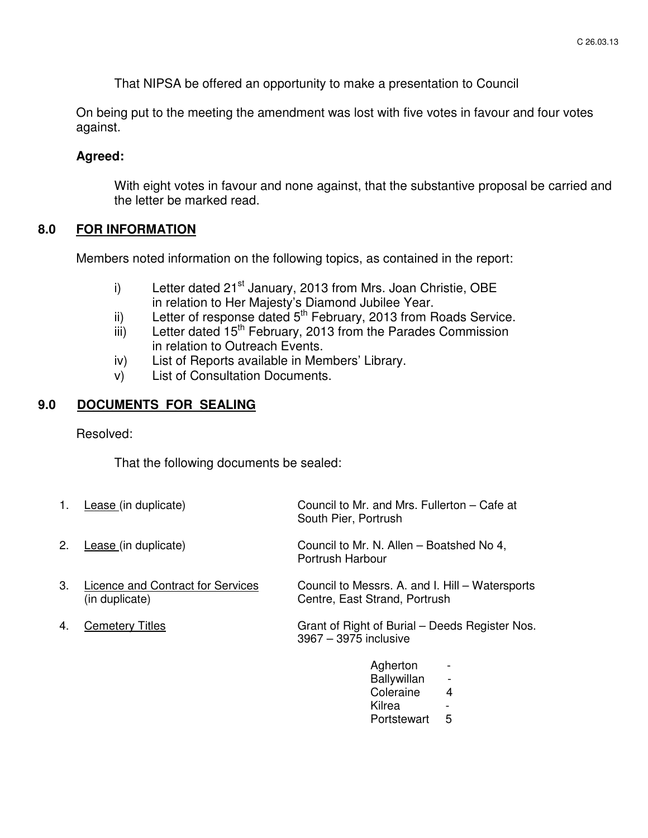That NIPSA be offered an opportunity to make a presentation to Council

On being put to the meeting the amendment was lost with five votes in favour and four votes against.

## **Agreed:**

With eight votes in favour and none against, that the substantive proposal be carried and the letter be marked read.

#### **8.0 FOR INFORMATION**

Members noted information on the following topics, as contained in the report:

- i) Letter dated  $21<sup>st</sup>$  January, 2013 from Mrs. Joan Christie, OBE in relation to Her Majesty's Diamond Jubilee Year.
- ii) Letter of response dated  $5<sup>th</sup>$  February, 2013 from Roads Service.
- $\overline{iii}$  Letter dated 15<sup>th</sup> February, 2013 from the Parades Commission in relation to Outreach Events.
- iv) List of Reports available in Members' Library.
- v) List of Consultation Documents.

#### **9.0 DOCUMENTS FOR SEALING**

Resolved:

That the following documents be sealed:

| 1. | Lease (in duplicate)                                | Council to Mr. and Mrs. Fullerton – Cafe at<br>South Pier, Portrush              |
|----|-----------------------------------------------------|----------------------------------------------------------------------------------|
| 2. | Lease (in duplicate)                                | Council to Mr. N. Allen – Boatshed No 4,<br>Portrush Harbour                     |
| 3. | Licence and Contract for Services<br>(in duplicate) | Council to Messrs. A. and I. Hill – Watersports<br>Centre, East Strand, Portrush |
| 4. | <b>Cemetery Titles</b>                              | Grant of Right of Burial – Deeds Register Nos.<br>3967 - 3975 inclusive          |
|    |                                                     | Agherton                                                                         |

| Agherton    |   |
|-------------|---|
| Ballywillan |   |
| Coleraine   | 4 |
| Kilrea      |   |
| Portstewart | 5 |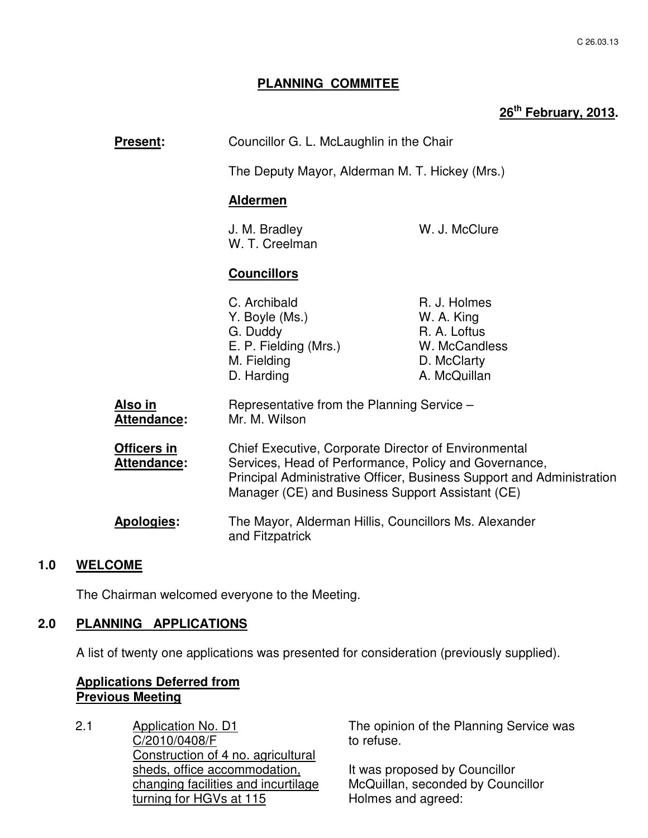## **PLANNING COMMITEE**

# **26th February, 2013.**

| <b>Present:</b>                      | Councillor G. L. McLaughlin in the Chair                                                                                                                                                                                                   |                                                                                            |
|--------------------------------------|--------------------------------------------------------------------------------------------------------------------------------------------------------------------------------------------------------------------------------------------|--------------------------------------------------------------------------------------------|
|                                      | The Deputy Mayor, Alderman M. T. Hickey (Mrs.)<br><b>Aldermen</b>                                                                                                                                                                          |                                                                                            |
|                                      |                                                                                                                                                                                                                                            |                                                                                            |
|                                      | J. M. Bradley<br>W. T. Creelman                                                                                                                                                                                                            | W. J. McClure                                                                              |
|                                      | <b>Councillors</b>                                                                                                                                                                                                                         |                                                                                            |
|                                      | C. Archibald<br>Y. Boyle (Ms.)<br>G. Duddy<br>E. P. Fielding (Mrs.)<br>M. Fielding<br>D. Harding                                                                                                                                           | R. J. Holmes<br>W. A. King<br>R. A. Loftus<br>W. McCandless<br>D. McClarty<br>A. McQuillan |
| <u>Also in</u><br><b>Attendance:</b> | Representative from the Planning Service -<br>Mr. M. Wilson                                                                                                                                                                                |                                                                                            |
| Officers in<br><b>Attendance:</b>    | Chief Executive, Corporate Director of Environmental<br>Services, Head of Performance, Policy and Governance,<br>Principal Administrative Officer, Business Support and Administration<br>Manager (CE) and Business Support Assistant (CE) |                                                                                            |
| <b>Apologies:</b>                    | The Mayor, Alderman Hillis, Councillors Ms. Alexander<br>and Fitzpatrick                                                                                                                                                                   |                                                                                            |

## **1.0 WELCOME**

The Chairman welcomed everyone to the Meeting.

## **2.0 PLANNING APPLICATIONS**

A list of twenty one applications was presented for consideration (previously supplied).

## **Applications Deferred from Previous Meeting**

2.1 Application No. D1 C/2010/0408/F Construction of 4 no. agricultural sheds, office accommodation, changing facilities and incurtilage turning for HGVs at 115

The opinion of the Planning Service was to refuse.

It was proposed by Councillor McQuillan, seconded by Councillor Holmes and agreed: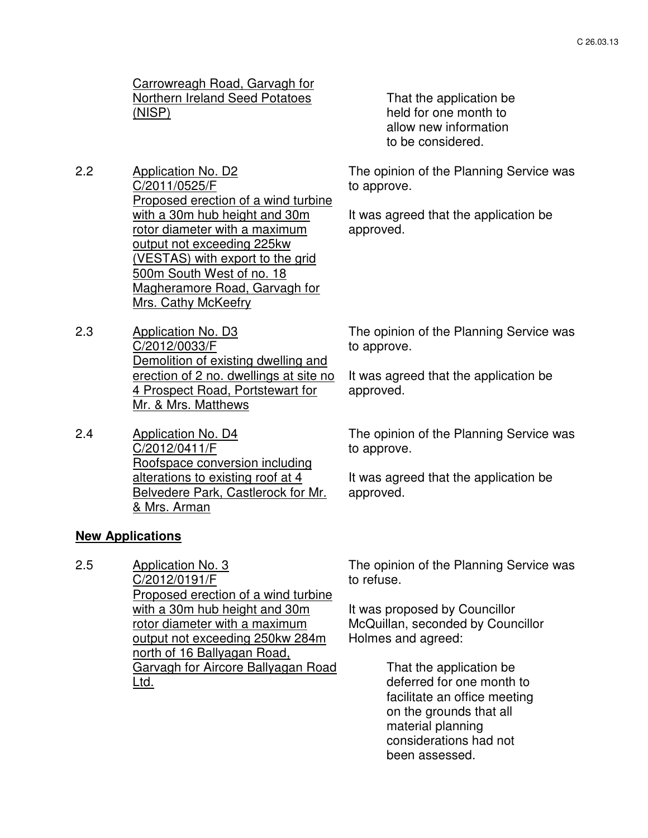## Carrowreagh Road, Garvagh for Northern Ireland Seed Potatoes (NISP)

2.2 Application No. D2 C/2011/0525/F Proposed erection of a wind turbine with a 30m hub height and 30m rotor diameter with a maximum output not exceeding 225kw (VESTAS) with export to the grid 500m South West of no. 18 Magheramore Road, Garvagh for Mrs. Cathy McKeefry

- 2.3 Application No. D3 C/2012/0033/F Demolition of existing dwelling and erection of 2 no. dwellings at site no 4 Prospect Road, Portstewart for Mr. & Mrs. Matthews
- 2.4 Application No. D4 C/2012/0411/F Roofspace conversion including alterations to existing roof at 4 Belvedere Park, Castlerock for Mr. & Mrs. Arman

 That the application be held for one month to allow new information to be considered.

The opinion of the Planning Service was to approve.

It was agreed that the application be approved.

The opinion of the Planning Service was to approve.

It was agreed that the application be approved.

The opinion of the Planning Service was to approve.

It was agreed that the application be approved.

## **New Applications**

2.5 Application No. 3 C/2012/0191/F Proposed erection of a wind turbine with a 30m hub height and 30m rotor diameter with a maximum output not exceeding 250kw 284m north of 16 Ballyagan Road, Garvagh for Aircore Ballyagan Road Ltd.

The opinion of the Planning Service was to refuse.

It was proposed by Councillor McQuillan, seconded by Councillor Holmes and agreed:

> That the application be deferred for one month to facilitate an office meeting on the grounds that all material planning considerations had not been assessed.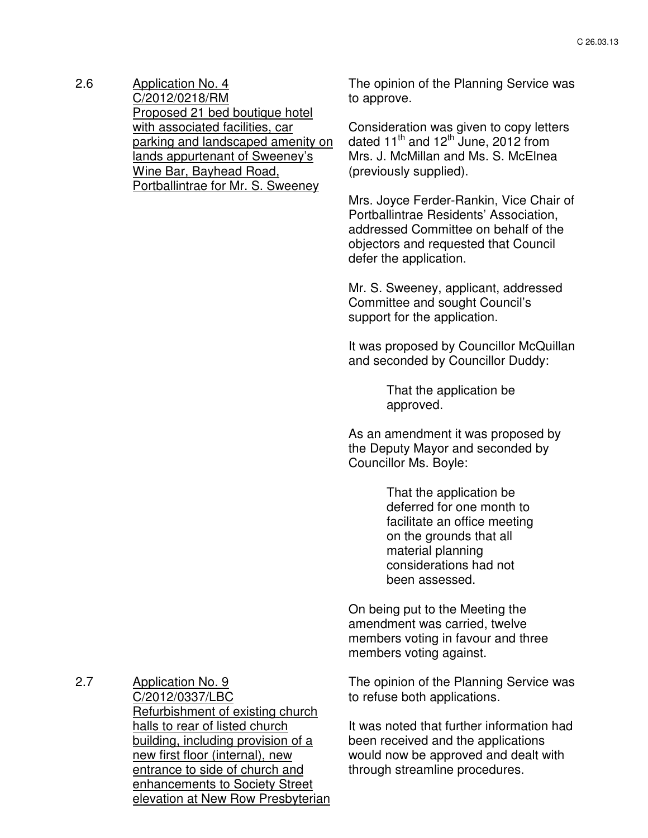2.6 Application No. 4 C/2012/0218/RM Proposed 21 bed boutique hotel with associated facilities, car parking and landscaped amenity on lands appurtenant of Sweeney's Wine Bar, Bayhead Road, Portballintrae for Mr. S. Sweeney

The opinion of the Planning Service was to approve.

Consideration was given to copy letters dated  $11^{\text{th}}$  and  $12^{\text{th}}$  June, 2012 from Mrs. J. McMillan and Ms. S. McElnea (previously supplied).

Mrs. Joyce Ferder-Rankin, Vice Chair of Portballintrae Residents' Association, addressed Committee on behalf of the objectors and requested that Council defer the application.

Mr. S. Sweeney, applicant, addressed Committee and sought Council's support for the application.

It was proposed by Councillor McQuillan and seconded by Councillor Duddy:

> That the application be approved.

As an amendment it was proposed by the Deputy Mayor and seconded by Councillor Ms. Boyle:

> That the application be deferred for one month to facilitate an office meeting on the grounds that all material planning considerations had not been assessed.

On being put to the Meeting the amendment was carried, twelve members voting in favour and three members voting against.

The opinion of the Planning Service was to refuse both applications.

It was noted that further information had been received and the applications would now be approved and dealt with through streamline procedures.

2.7 Application No. 9 C/2012/0337/LBC Refurbishment of existing church halls to rear of listed church building, including provision of a new first floor (internal), new entrance to side of church and enhancements to Society Street elevation at New Row Presbyterian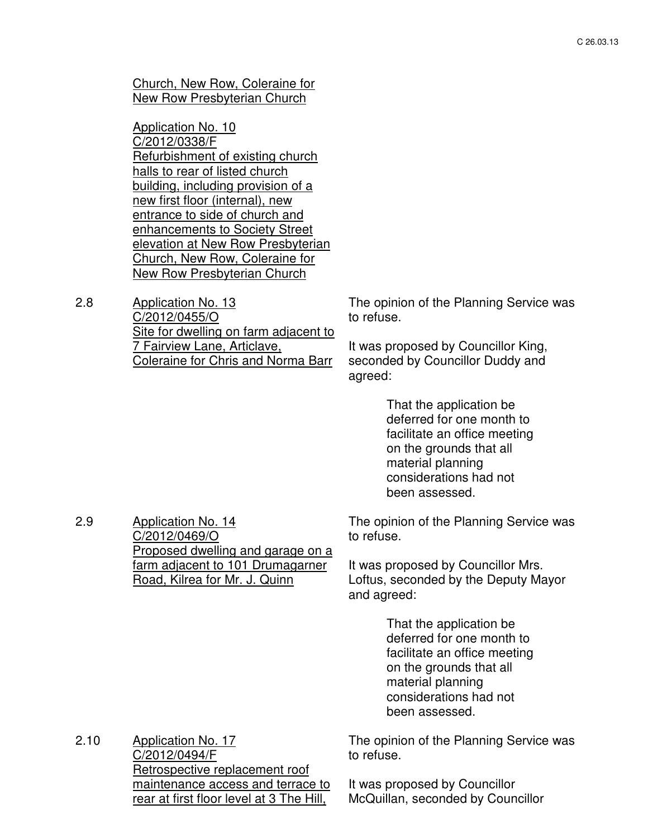Church, New Row, Coleraine for New Row Presbyterian Church

Application No. 10 C/2012/0338/F Refurbishment of existing church halls to rear of listed church building, including provision of a new first floor (internal), new entrance to side of church and enhancements to Society Street elevation at New Row Presbyterian Church, New Row, Coleraine for New Row Presbyterian Church

2.8 Application No. 13 C/2012/0455/O Site for dwelling on farm adjacent to 7 Fairview Lane, Articlave, Coleraine for Chris and Norma Barr

The opinion of the Planning Service was to refuse.

It was proposed by Councillor King, seconded by Councillor Duddy and agreed:

> That the application be deferred for one month to facilitate an office meeting on the grounds that all material planning considerations had not been assessed.

2.9 Application No. 14 C/2012/0469/O Proposed dwelling and garage on a farm adjacent to 101 Drumagarner The opinion of the Planning Service was to refuse.

It was proposed by Councillor Mrs. Loftus, seconded by the Deputy Mayor and agreed:

> That the application be deferred for one month to facilitate an office meeting on the grounds that all material planning considerations had not been assessed.

2.10 Application No. 17 C/2012/0494/F Retrospective replacement roof maintenance access and terrace to rear at first floor level at 3 The Hill,

Road, Kilrea for Mr. J. Quinn

The opinion of the Planning Service was to refuse.

It was proposed by Councillor McQuillan, seconded by Councillor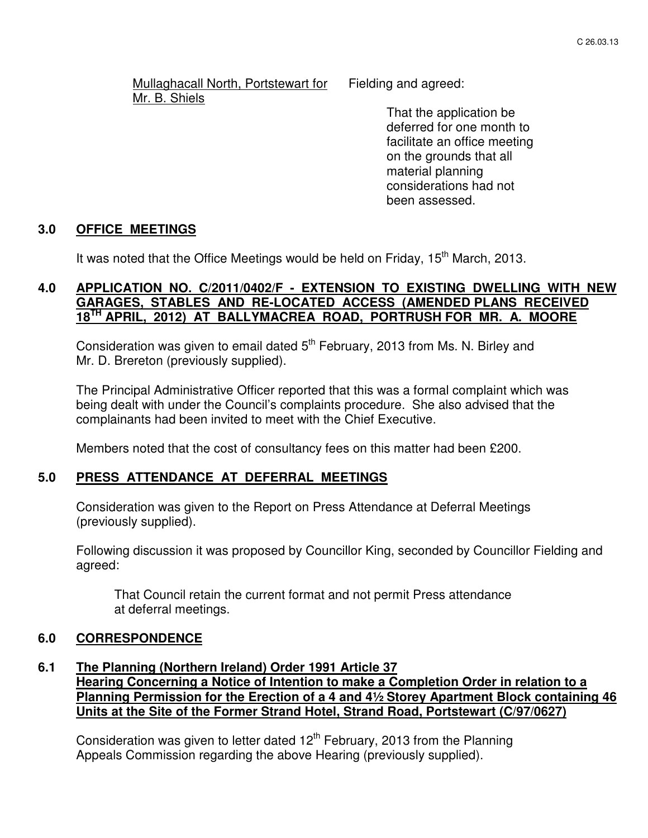Mullaghacall North, Portstewart for Mr. B. Shiels

Fielding and agreed:

 That the application be deferred for one month to facilitate an office meeting on the grounds that all material planning considerations had not been assessed.

#### **3.0 OFFICE MEETINGS**

It was noted that the Office Meetings would be held on Friday,  $15<sup>th</sup>$  March, 2013.

## **4.0 APPLICATION NO. C/2011/0402/F - EXTENSION TO EXISTING DWELLING WITH NEW GARAGES, STABLES AND RE-LOCATED ACCESS (AMENDED PLANS RECEIVED 18TH APRIL, 2012) AT BALLYMACREA ROAD, PORTRUSH FOR MR. A. MOORE**

Consideration was given to email dated  $5<sup>th</sup>$  February, 2013 from Ms. N. Birley and Mr. D. Brereton (previously supplied).

The Principal Administrative Officer reported that this was a formal complaint which was being dealt with under the Council's complaints procedure. She also advised that the complainants had been invited to meet with the Chief Executive.

Members noted that the cost of consultancy fees on this matter had been £200.

#### **5.0 PRESS ATTENDANCE AT DEFERRAL MEETINGS**

 Consideration was given to the Report on Press Attendance at Deferral Meetings (previously supplied).

Following discussion it was proposed by Councillor King, seconded by Councillor Fielding and agreed:

 That Council retain the current format and not permit Press attendance at deferral meetings.

#### **6.0 CORRESPONDENCE**

#### **6.1 The Planning (Northern Ireland) Order 1991 Article 37 Hearing Concerning a Notice of Intention to make a Completion Order in relation to a Planning Permission for the Erection of a 4 and 4½ Storey Apartment Block containing 46 Units at the Site of the Former Strand Hotel, Strand Road, Portstewart (C/97/0627)**

Consideration was given to letter dated  $12<sup>th</sup>$  February, 2013 from the Planning Appeals Commission regarding the above Hearing (previously supplied).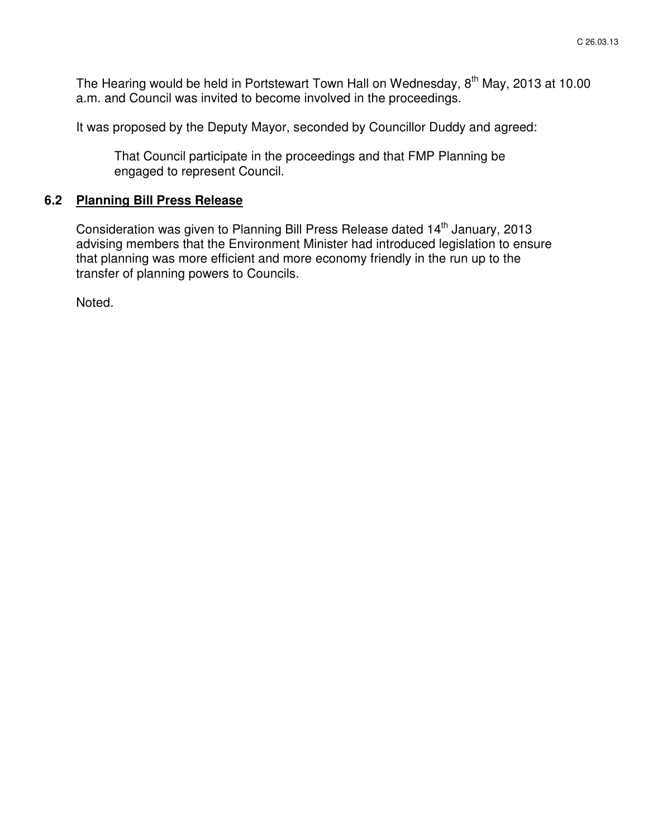The Hearing would be held in Portstewart Town Hall on Wednesday, 8<sup>th</sup> May, 2013 at 10.00 a.m. and Council was invited to become involved in the proceedings.

It was proposed by the Deputy Mayor, seconded by Councillor Duddy and agreed:

 That Council participate in the proceedings and that FMP Planning be engaged to represent Council.

#### **6.2 Planning Bill Press Release**

Consideration was given to Planning Bill Press Release dated 14<sup>th</sup> January, 2013 advising members that the Environment Minister had introduced legislation to ensure that planning was more efficient and more economy friendly in the run up to the transfer of planning powers to Councils.

Noted.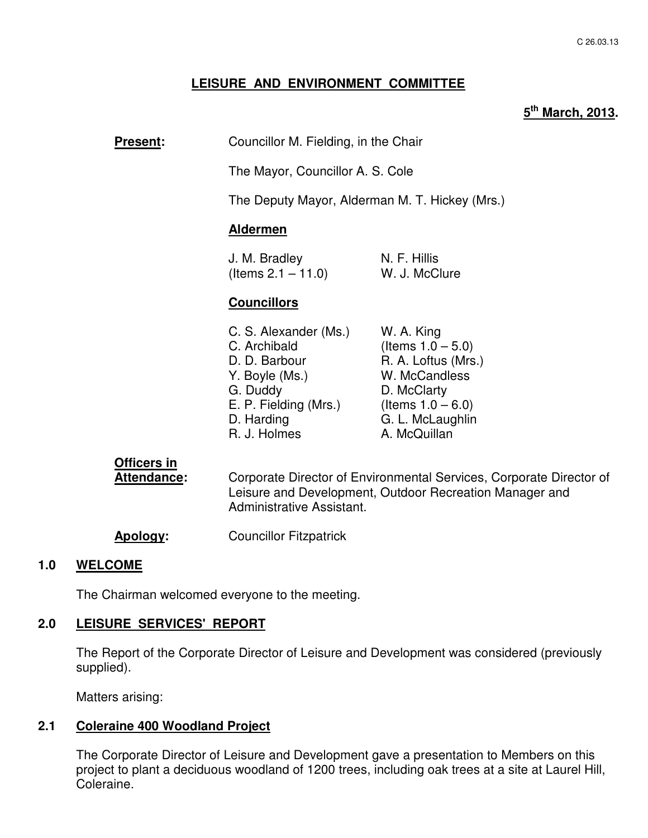## **LEISURE AND ENVIRONMENT COMMITTEE**

## **5 th March, 2013.**

**Present:** Councillor M. Fielding, in the Chair

The Mayor, Councillor A. S. Cole

The Deputy Mayor, Alderman M. T. Hickey (Mrs.)

#### **Aldermen**

J. M. Bradley N. F. Hillis  $($ ltems  $2.1 - 11.0)$  W. J. McClure

#### **Councillors**

| W. A. King           |
|----------------------|
| (Items $1.0 - 5.0$ ) |
| R. A. Loftus (Mrs.)  |
| W. McCandless        |
| D. McClarty          |
| (Items $1.0 - 6.0$ ) |
| G. L. McLaughlin     |
| A. McQuillan         |
|                      |

# **Officers in**

Attendance: Corporate Director of Environmental Services, Corporate Director of Leisure and Development, Outdoor Recreation Manager and Administrative Assistant.

**Apology:** Councillor Fitzpatrick

#### **1.0 WELCOME**

The Chairman welcomed everyone to the meeting.

#### **2.0 LEISURE SERVICES' REPORT**

The Report of the Corporate Director of Leisure and Development was considered (previously supplied).

Matters arising:

#### **2.1 Coleraine 400 Woodland Project**

The Corporate Director of Leisure and Development gave a presentation to Members on this project to plant a deciduous woodland of 1200 trees, including oak trees at a site at Laurel Hill, Coleraine.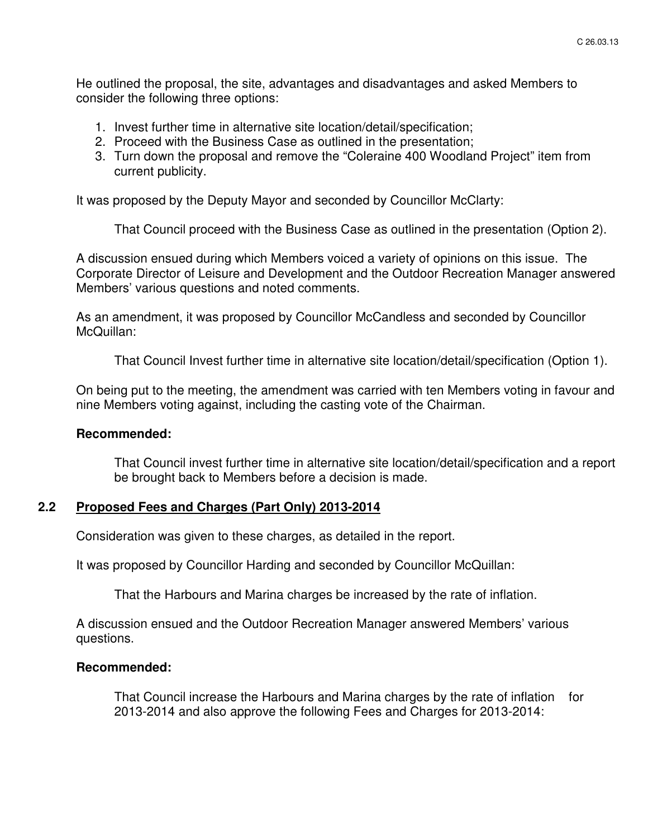He outlined the proposal, the site, advantages and disadvantages and asked Members to consider the following three options:

- 1. Invest further time in alternative site location/detail/specification;
- 2. Proceed with the Business Case as outlined in the presentation;
- 3. Turn down the proposal and remove the "Coleraine 400 Woodland Project" item from current publicity.

It was proposed by the Deputy Mayor and seconded by Councillor McClarty:

That Council proceed with the Business Case as outlined in the presentation (Option 2).

A discussion ensued during which Members voiced a variety of opinions on this issue. The Corporate Director of Leisure and Development and the Outdoor Recreation Manager answered Members' various questions and noted comments.

As an amendment, it was proposed by Councillor McCandless and seconded by Councillor McQuillan:

That Council Invest further time in alternative site location/detail/specification (Option 1).

On being put to the meeting, the amendment was carried with ten Members voting in favour and nine Members voting against, including the casting vote of the Chairman.

#### **Recommended:**

That Council invest further time in alternative site location/detail/specification and a report be brought back to Members before a decision is made.

## **2.2 Proposed Fees and Charges (Part Only) 2013-2014**

Consideration was given to these charges, as detailed in the report.

It was proposed by Councillor Harding and seconded by Councillor McQuillan:

That the Harbours and Marina charges be increased by the rate of inflation.

A discussion ensued and the Outdoor Recreation Manager answered Members' various questions.

#### **Recommended:**

That Council increase the Harbours and Marina charges by the rate of inflation for 2013-2014 and also approve the following Fees and Charges for 2013-2014: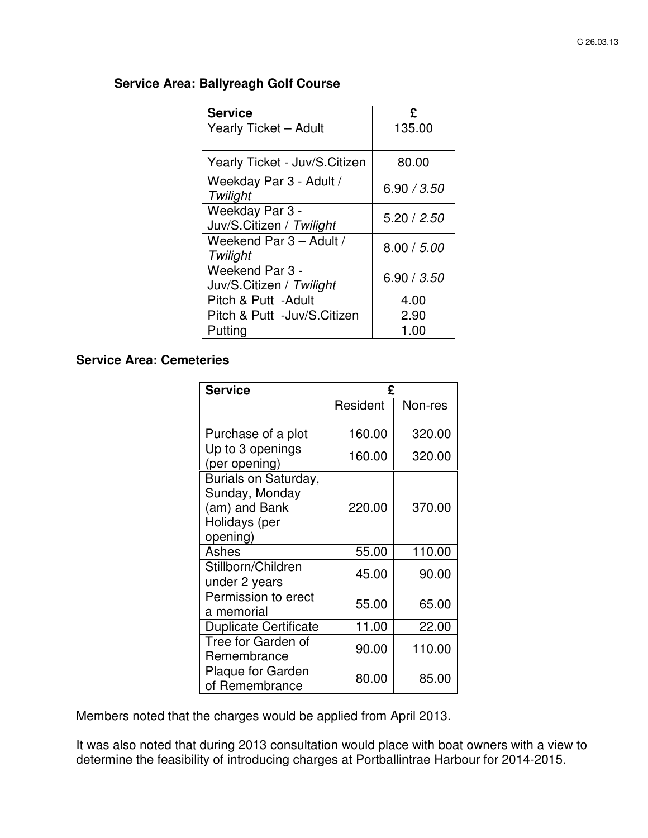## **Service Area: Ballyreagh Golf Course**

| <b>Service</b>                              | £           |
|---------------------------------------------|-------------|
| <b>Yearly Ticket - Adult</b>                | 135.00      |
| Yearly Ticket - Juv/S.Citizen               | 80.00       |
| Weekday Par 3 - Adult /<br>Twilight         | 6.90 / 3.50 |
| Weekday Par 3 -<br>Juv/S.Citizen / Twilight | 5.20 / 2.50 |
| Weekend Par 3 - Adult /<br>Twilight         | 8.00 / 5.00 |
| Weekend Par 3 -<br>Juv/S.Citizen / Twilight | 6.90 / 3.50 |
| Pitch & Putt - Adult                        | 4.00        |
| Pitch & Putt -Juv/S.Citizen                 | 2.90        |
| Putting                                     | 1.00        |

## **Service Area: Cemeteries**

| <b>Service</b>                                                                                                     | £                          |                            |
|--------------------------------------------------------------------------------------------------------------------|----------------------------|----------------------------|
|                                                                                                                    | Resident                   | Non-res                    |
| Purchase of a plot<br>Up to 3 openings<br>(per opening)<br>Burials on Saturday,<br>Sunday, Monday<br>(am) and Bank | 160.00<br>160.00<br>220.00 | 320.00<br>320.00<br>370.00 |
| Holidays (per<br>opening)                                                                                          |                            |                            |
| Ashes                                                                                                              | 55.00                      | 110.00                     |
| Stillborn/Children<br>under 2 years                                                                                | 45.00                      | 90.00                      |
| Permission to erect<br>a memorial                                                                                  | 55.00                      | 65.00                      |
| <b>Duplicate Certificate</b>                                                                                       | 11.00                      | 22.00                      |
| Tree for Garden of<br>Remembrance                                                                                  | 90.00                      | 110.00                     |
| <b>Plaque for Garden</b><br>of Remembrance                                                                         | 80.00                      | 85.00                      |

Members noted that the charges would be applied from April 2013.

It was also noted that during 2013 consultation would place with boat owners with a view to determine the feasibility of introducing charges at Portballintrae Harbour for 2014-2015.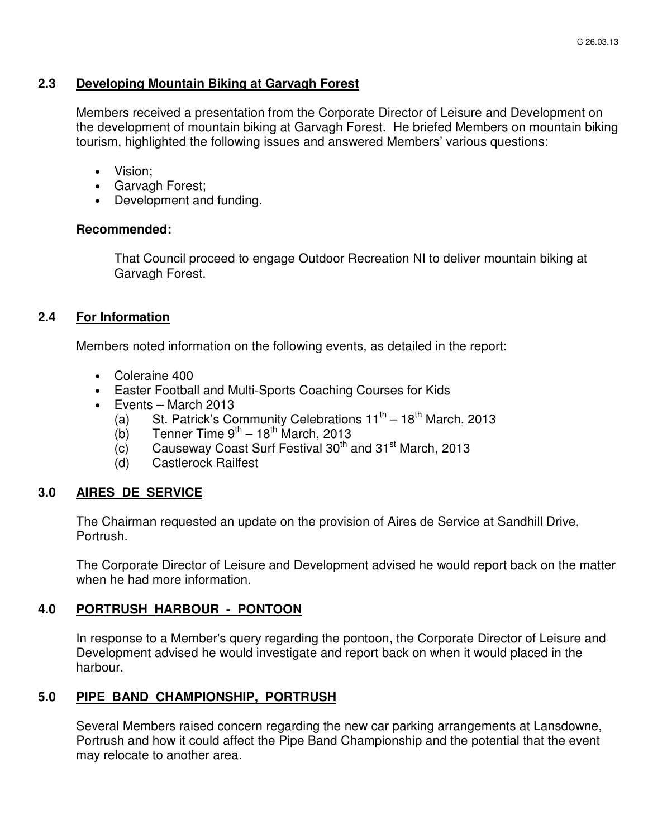## **2.3 Developing Mountain Biking at Garvagh Forest**

Members received a presentation from the Corporate Director of Leisure and Development on the development of mountain biking at Garvagh Forest. He briefed Members on mountain biking tourism, highlighted the following issues and answered Members' various questions:

- Vision;
- Garvagh Forest;
- Development and funding.

#### **Recommended:**

That Council proceed to engage Outdoor Recreation NI to deliver mountain biking at Garvagh Forest.

## **2.4 For Information**

Members noted information on the following events, as detailed in the report:

- Coleraine 400
- Easter Football and Multi-Sports Coaching Courses for Kids
- Events March 2013
	- (a) St. Patrick's Community Celebrations  $11^{th} 18^{th}$  March, 2013
	- (b) Tenner Time  $9^{th} 18^{th}$  March, 2013
	- $(c)$  Causeway Coast Surf Festival 30<sup>th</sup> and 31<sup>st</sup> March, 2013
	- (d) Castlerock Railfest

## **3.0 AIRES DE SERVICE**

The Chairman requested an update on the provision of Aires de Service at Sandhill Drive, Portrush.

The Corporate Director of Leisure and Development advised he would report back on the matter when he had more information.

## **4.0 PORTRUSH HARBOUR - PONTOON**

In response to a Member's query regarding the pontoon, the Corporate Director of Leisure and Development advised he would investigate and report back on when it would placed in the harbour.

## **5.0 PIPE BAND CHAMPIONSHIP, PORTRUSH**

Several Members raised concern regarding the new car parking arrangements at Lansdowne, Portrush and how it could affect the Pipe Band Championship and the potential that the event may relocate to another area.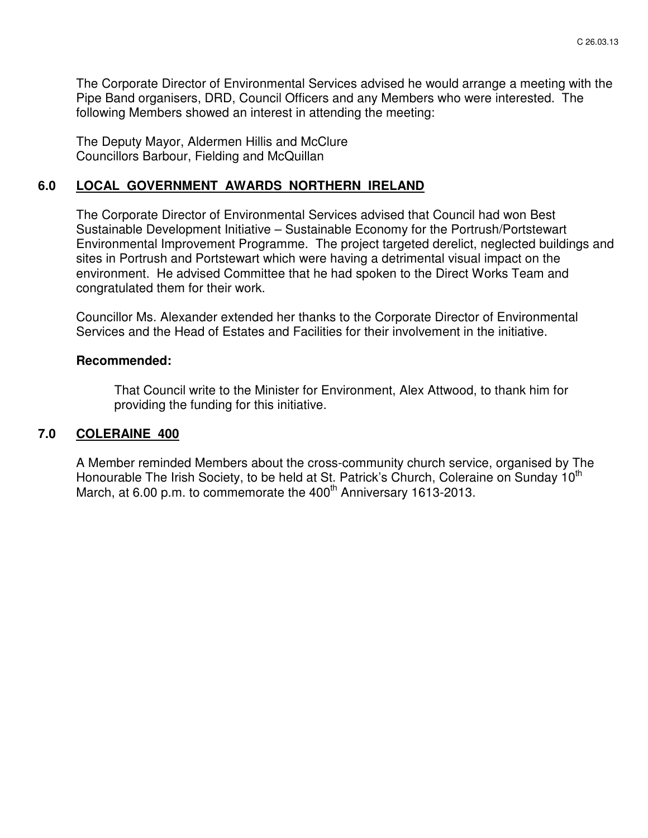The Corporate Director of Environmental Services advised he would arrange a meeting with the Pipe Band organisers, DRD, Council Officers and any Members who were interested. The following Members showed an interest in attending the meeting:

The Deputy Mayor, Aldermen Hillis and McClure Councillors Barbour, Fielding and McQuillan

## **6.0 LOCAL GOVERNMENT AWARDS NORTHERN IRELAND**

The Corporate Director of Environmental Services advised that Council had won Best Sustainable Development Initiative – Sustainable Economy for the Portrush/Portstewart Environmental Improvement Programme. The project targeted derelict, neglected buildings and sites in Portrush and Portstewart which were having a detrimental visual impact on the environment. He advised Committee that he had spoken to the Direct Works Team and congratulated them for their work.

Councillor Ms. Alexander extended her thanks to the Corporate Director of Environmental Services and the Head of Estates and Facilities for their involvement in the initiative.

#### **Recommended:**

That Council write to the Minister for Environment, Alex Attwood, to thank him for providing the funding for this initiative.

#### **7.0 COLERAINE 400**

A Member reminded Members about the cross-community church service, organised by The Honourable The Irish Society, to be held at St. Patrick's Church, Coleraine on Sunday 10<sup>th</sup> March, at 6.00 p.m. to commemorate the 400<sup>th</sup> Anniversary 1613-2013.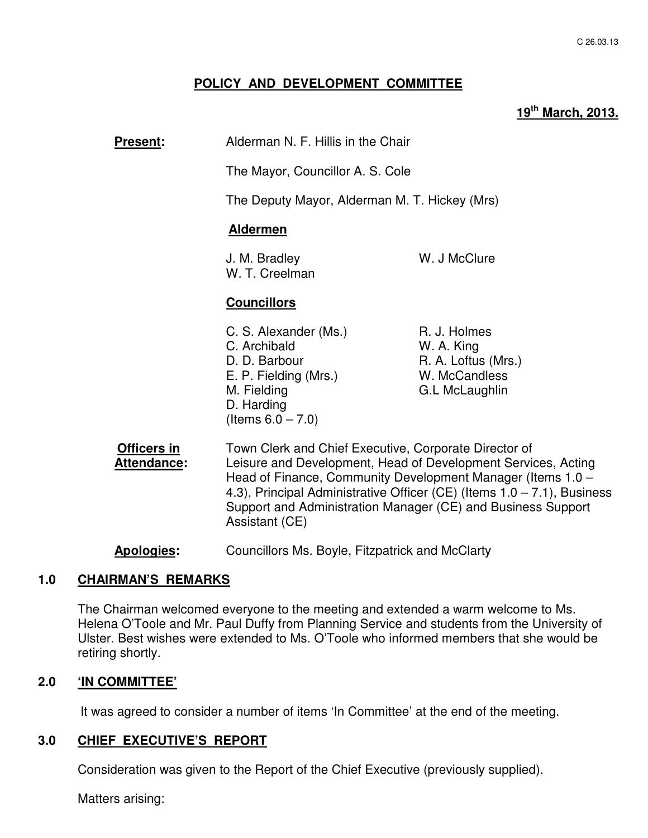## **POLICY AND DEVELOPMENT COMMITTEE**

# **19th March, 2013.**

 $1.0 - 7.1$ ), Business

| <u> Present:</u>                         | Alderman N. F. Hillis in the Chair                                                                                                                                                                                                                                                                                                                  |                                                                                      |  |  |
|------------------------------------------|-----------------------------------------------------------------------------------------------------------------------------------------------------------------------------------------------------------------------------------------------------------------------------------------------------------------------------------------------------|--------------------------------------------------------------------------------------|--|--|
|                                          | The Mayor, Councillor A. S. Cole                                                                                                                                                                                                                                                                                                                    |                                                                                      |  |  |
|                                          |                                                                                                                                                                                                                                                                                                                                                     | The Deputy Mayor, Alderman M. T. Hickey (Mrs)                                        |  |  |
|                                          | <b>Aldermen</b>                                                                                                                                                                                                                                                                                                                                     |                                                                                      |  |  |
|                                          | J. M. Bradley<br>W. T. Creelman                                                                                                                                                                                                                                                                                                                     | W. J McClure                                                                         |  |  |
|                                          | <b>Councillors</b>                                                                                                                                                                                                                                                                                                                                  |                                                                                      |  |  |
|                                          | C. S. Alexander (Ms.)<br>C. Archibald<br>D. D. Barbour<br>E. P. Fielding (Mrs.)<br>M. Fielding<br>D. Harding<br>(Items $6.0 - 7.0$ )                                                                                                                                                                                                                | R. J. Holmes<br>W. A. King<br>R. A. Loftus (Mrs.)<br>W. McCandless<br>G.L McLaughlin |  |  |
| <b>Officers in</b><br><b>Attendance:</b> | Town Clerk and Chief Executive, Corporate Director of<br>Leisure and Development, Head of Development Services, Acting<br>Head of Finance, Community Development Manager (Items 1.0 -<br>4.3), Principal Administrative Officer (CE) (Items $1.0 - 7.1$ ), Busine<br>Support and Administration Manager (CE) and Business Support<br>Assistant (CE) |                                                                                      |  |  |

**Apologies:** Councillors Ms. Boyle, Fitzpatrick and McClarty

## **1.0 CHAIRMAN'S REMARKS**

The Chairman welcomed everyone to the meeting and extended a warm welcome to Ms. Helena O'Toole and Mr. Paul Duffy from Planning Service and students from the University of Ulster. Best wishes were extended to Ms. O'Toole who informed members that she would be retiring shortly.

## **2.0 'IN COMMITTEE'**

It was agreed to consider a number of items 'In Committee' at the end of the meeting.

## **3.0 CHIEF EXECUTIVE'S REPORT**

Consideration was given to the Report of the Chief Executive (previously supplied).

Matters arising: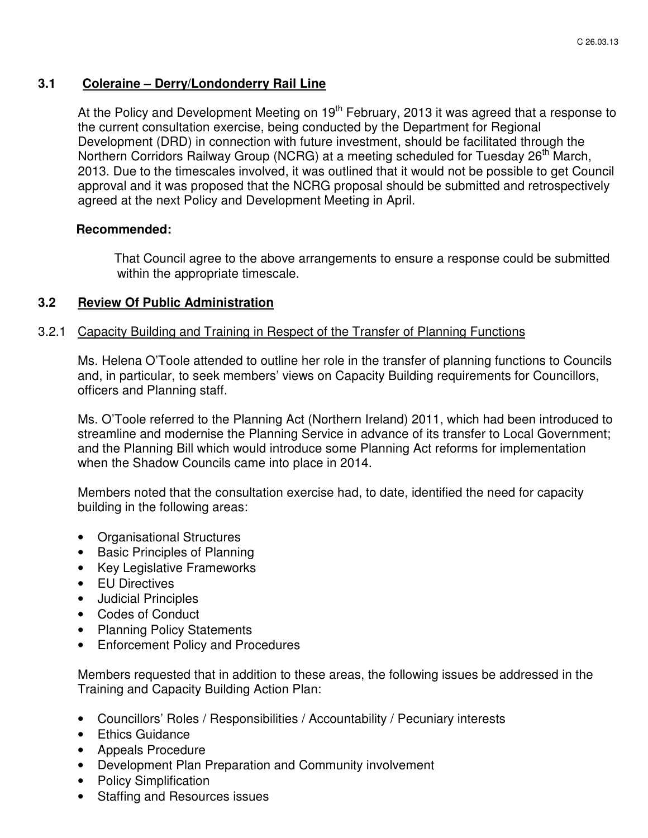## **3.1 Coleraine – Derry/Londonderry Rail Line**

At the Policy and Development Meeting on  $19<sup>th</sup>$  February, 2013 it was agreed that a response to the current consultation exercise, being conducted by the Department for Regional Development (DRD) in connection with future investment, should be facilitated through the Northern Corridors Railway Group (NCRG) at a meeting scheduled for Tuesday 26<sup>th</sup> March, 2013. Due to the timescales involved, it was outlined that it would not be possible to get Council approval and it was proposed that the NCRG proposal should be submitted and retrospectively agreed at the next Policy and Development Meeting in April.

## **Recommended:**

That Council agree to the above arrangements to ensure a response could be submitted within the appropriate timescale.

## **3.2 Review Of Public Administration**

## 3.2.1 Capacity Building and Training in Respect of the Transfer of Planning Functions

Ms. Helena O'Toole attended to outline her role in the transfer of planning functions to Councils and, in particular, to seek members' views on Capacity Building requirements for Councillors, officers and Planning staff.

Ms. O'Toole referred to the Planning Act (Northern Ireland) 2011, which had been introduced to streamline and modernise the Planning Service in advance of its transfer to Local Government; and the Planning Bill which would introduce some Planning Act reforms for implementation when the Shadow Councils came into place in 2014.

Members noted that the consultation exercise had, to date, identified the need for capacity building in the following areas:

- Organisational Structures
- Basic Principles of Planning
- Key Legislative Frameworks
- EU Directives
- Judicial Principles
- Codes of Conduct
- Planning Policy Statements
- Enforcement Policy and Procedures

Members requested that in addition to these areas, the following issues be addressed in the Training and Capacity Building Action Plan:

- Councillors' Roles / Responsibilities / Accountability / Pecuniary interests
- Ethics Guidance
- Appeals Procedure
- Development Plan Preparation and Community involvement
- Policy Simplification
- Staffing and Resources issues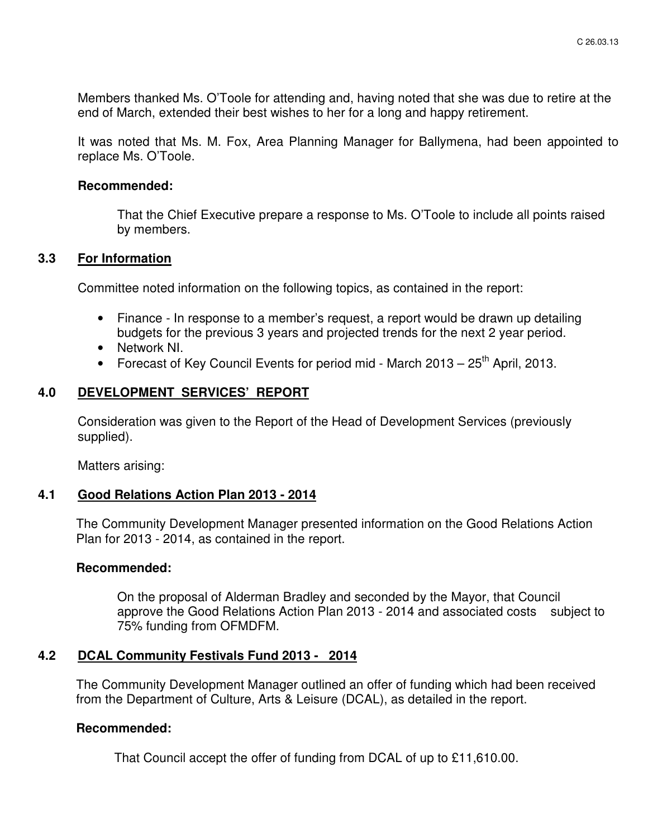Members thanked Ms. O'Toole for attending and, having noted that she was due to retire at the end of March, extended their best wishes to her for a long and happy retirement.

It was noted that Ms. M. Fox, Area Planning Manager for Ballymena, had been appointed to replace Ms. O'Toole.

#### **Recommended:**

That the Chief Executive prepare a response to Ms. O'Toole to include all points raised by members.

#### **3.3 For Information**

Committee noted information on the following topics, as contained in the report:

- Finance In response to a member's request, a report would be drawn up detailing budgets for the previous 3 years and projected trends for the next 2 year period.
- Network NI.
- Forecast of Key Council Events for period mid March  $2013 25$ <sup>th</sup> April, 2013.

## **4.0 DEVELOPMENT SERVICES' REPORT**

 Consideration was given to the Report of the Head of Development Services (previously supplied).

Matters arising:

## **4.1 Good Relations Action Plan 2013 - 2014**

The Community Development Manager presented information on the Good Relations Action Plan for 2013 - 2014, as contained in the report.

#### **Recommended:**

 On the proposal of Alderman Bradley and seconded by the Mayor, that Council approve the Good Relations Action Plan 2013 - 2014 and associated costs subject to 75% funding from OFMDFM.

## **4.2 DCAL Community Festivals Fund 2013 - 2014**

The Community Development Manager outlined an offer of funding which had been received from the Department of Culture, Arts & Leisure (DCAL), as detailed in the report.

## **Recommended:**

That Council accept the offer of funding from DCAL of up to £11,610.00.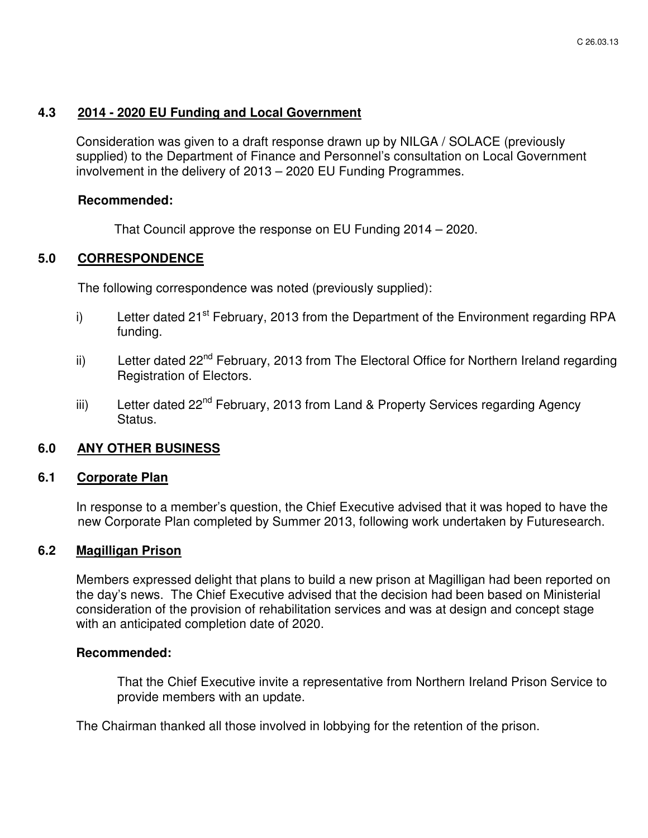## **4.3 2014 - 2020 EU Funding and Local Government**

Consideration was given to a draft response drawn up by NILGA / SOLACE (previously supplied) to the Department of Finance and Personnel's consultation on Local Government involvement in the delivery of 2013 – 2020 EU Funding Programmes.

## **Recommended:**

That Council approve the response on EU Funding 2014 – 2020.

## **5.0 CORRESPONDENCE**

The following correspondence was noted (previously supplied):

- i) Letter dated  $21^{st}$  February, 2013 from the Department of the Environment regarding RPA funding.
- ii) Letter dated 22<sup>nd</sup> February, 2013 from The Electoral Office for Northern Ireland regarding Registration of Electors.
- iii) Letter dated 22<sup>nd</sup> February, 2013 from Land & Property Services regarding Agency Status.

## **6.0 ANY OTHER BUSINESS**

#### **6.1 Corporate Plan**

In response to a member's question, the Chief Executive advised that it was hoped to have the new Corporate Plan completed by Summer 2013, following work undertaken by Futuresearch.

#### **6.2 Magilligan Prison**

Members expressed delight that plans to build a new prison at Magilligan had been reported on the day's news. The Chief Executive advised that the decision had been based on Ministerial consideration of the provision of rehabilitation services and was at design and concept stage with an anticipated completion date of 2020.

#### **Recommended:**

 That the Chief Executive invite a representative from Northern Ireland Prison Service to provide members with an update.

The Chairman thanked all those involved in lobbying for the retention of the prison.